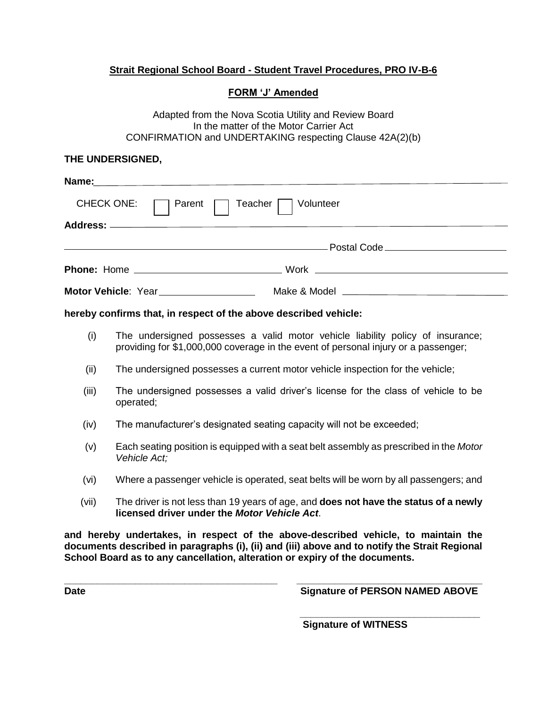# **Strait Regional School Board - Student Travel Procedures, PRO IV-B-6**

## **FORM 'J' Amended**

Adapted from the Nova Scotia Utility and Review Board In the matter of the Motor Carrier Act CONFIRMATION and UNDERTAKING respecting Clause 42A(2)(b)

## **THE UNDERSIGNED,**

| Name: 2008 2009 2012 2022 2023 2024 2022 2022 2023 2024 2022 2023 2024 2022 2023 2024 2022 2023 2024 2022 2023 |
|----------------------------------------------------------------------------------------------------------------|
| CHECK ONE: <b>Parent Parent Teacher</b> Volunteer                                                              |
|                                                                                                                |
|                                                                                                                |
|                                                                                                                |
|                                                                                                                |

### **hereby confirms that, in respect of the above described vehicle:**

- (i) The undersigned possesses a valid motor vehicle liability policy of insurance; providing for \$1,000,000 coverage in the event of personal injury or a passenger;
- (ii) The undersigned possesses a current motor vehicle inspection for the vehicle;
- (iii) The undersigned possesses a valid driver's license for the class of vehicle to be operated;
- (iv) The manufacturer's designated seating capacity will not be exceeded;
- (v) Each seating position is equipped with a seat belt assembly as prescribed in the *Motor Vehicle Act;*
- (vi) Where a passenger vehicle is operated, seat belts will be worn by all passengers; and
- (vii) The driver is not less than 19 years of age, and **does not have the status of a newly licensed driver under the** *Motor Vehicle Act*.

**and hereby undertakes, in respect of the above-described vehicle, to maintain the documents described in paragraphs (i), (ii) and (iii) above and to notify the Strait Regional School Board as to any cancellation, alteration or expiry of the documents.**

**\_\_\_\_\_\_\_\_\_\_\_\_\_\_\_\_\_\_\_\_\_\_\_\_\_\_\_\_\_\_\_\_\_\_\_\_\_\_\_ \_\_\_\_\_\_\_\_\_\_\_\_\_\_\_\_\_\_\_\_\_\_\_\_\_\_\_\_\_\_\_\_\_\_ Date** Signature of PERSON NAMED ABOVE

> **\_\_\_\_\_\_\_\_\_\_\_\_\_\_\_\_\_\_\_\_\_\_\_\_\_\_\_\_\_\_\_\_\_ Signature of WITNESS**